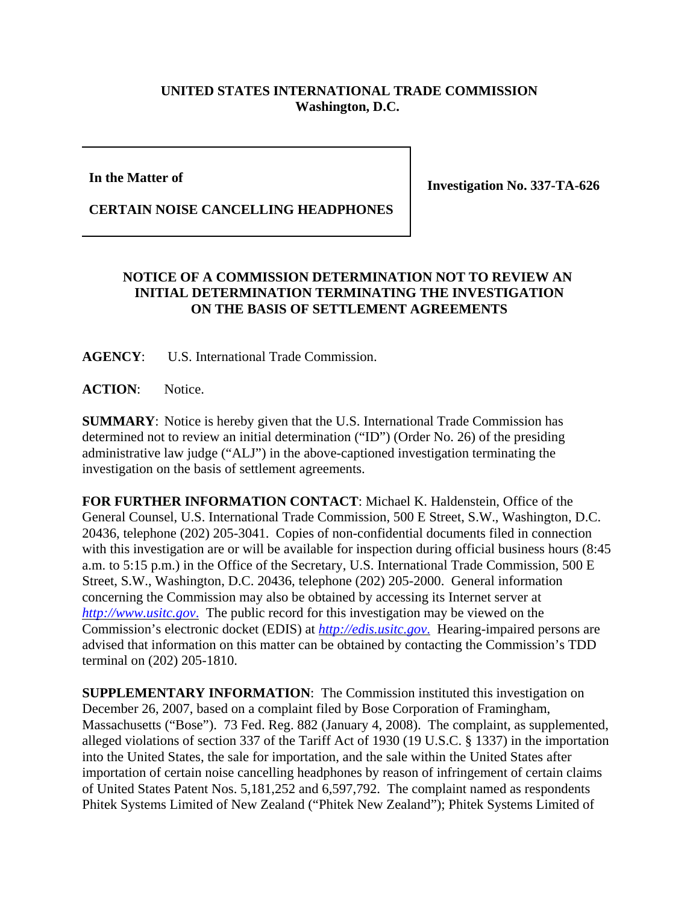## **UNITED STATES INTERNATIONAL TRADE COMMISSION Washington, D.C.**

## **In the Matter of**

**Investigation No. 337-TA-626**

## **CERTAIN NOISE CANCELLING HEADPHONES**

## **NOTICE OF A COMMISSION DETERMINATION NOT TO REVIEW AN INITIAL DETERMINATION TERMINATING THE INVESTIGATION ON THE BASIS OF SETTLEMENT AGREEMENTS**

**AGENCY**: U.S. International Trade Commission.

**ACTION**: Notice.

**SUMMARY**: Notice is hereby given that the U.S. International Trade Commission has determined not to review an initial determination ("ID") (Order No. 26) of the presiding administrative law judge ("ALJ") in the above-captioned investigation terminating the investigation on the basis of settlement agreements.

**FOR FURTHER INFORMATION CONTACT**: Michael K. Haldenstein, Office of the General Counsel, U.S. International Trade Commission, 500 E Street, S.W., Washington, D.C. 20436, telephone (202) 205-3041. Copies of non-confidential documents filed in connection with this investigation are or will be available for inspection during official business hours (8:45 a.m. to 5:15 p.m.) in the Office of the Secretary, U.S. International Trade Commission, 500 E Street, S.W., Washington, D.C. 20436, telephone (202) 205-2000. General information concerning the Commission may also be obtained by accessing its Internet server at *http://www.usitc.gov*. The public record for this investigation may be viewed on the Commission's electronic docket (EDIS) at *http://edis.usitc.gov*. Hearing-impaired persons are advised that information on this matter can be obtained by contacting the Commission's TDD terminal on (202) 205-1810.

**SUPPLEMENTARY INFORMATION**: The Commission instituted this investigation on December 26, 2007, based on a complaint filed by Bose Corporation of Framingham, Massachusetts ("Bose"). 73 Fed. Reg. 882 (January 4, 2008). The complaint, as supplemented, alleged violations of section 337 of the Tariff Act of 1930 (19 U.S.C. § 1337) in the importation into the United States, the sale for importation, and the sale within the United States after importation of certain noise cancelling headphones by reason of infringement of certain claims of United States Patent Nos. 5,181,252 and 6,597,792. The complaint named as respondents Phitek Systems Limited of New Zealand ("Phitek New Zealand"); Phitek Systems Limited of